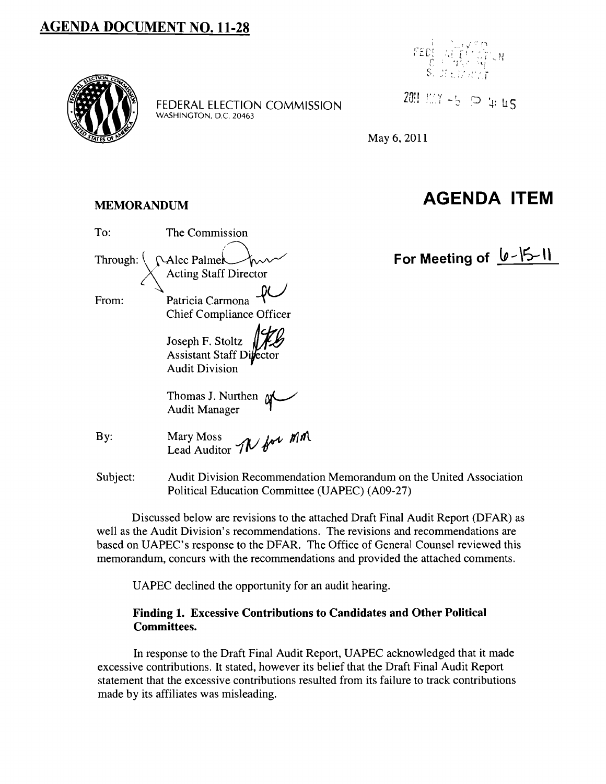# **AGENDA DOCUMENT NO. 11-28**



FEDERAL ELECTION COMMISSION WASHINGTON, D.C. 20463



20!! I'.. Y -5  $\supset$  4: 45

May 6, 2011

# MEMORANDUM **AGENDA ITEM**

# To: The Commission Through:  $\sqrt{\text{Alec Palmer}}$  For Meeting of  $\sqrt{\frac{15-11}{2}}$ From: Patricia Carmona  $\mathbb{R}$ Chief Compliance Officer Joseph F. Stoltz *AcjtJ*  Assistant Staff Di Audit Division Thomas J. Nurthen  $\gamma$ Audit Manager By: Mary Moss *III* In  $\mathbb{M}$ Lead Auditor *IV*

Subject: Audit Division Recommendation Memorandum on the United Association Political Education Committee (UAPEC) (A09-27)

Discussed below are revisions to the attached Draft Final Audit Report (DFAR) as well as the Audit Division's recommendations. The revisions and recommendations are based on UAPEC's response to the DFAR. The Office of General Counsel reviewed this memorandum, concurs with the recommendations and provided the attached comments.

UAPEC declined the opportunity for an audit hearing.

### Finding 1. Excessive Contributions to Candidates and Other Political Committees.

In response to the Draft Final Audit Report, UAPEC acknowledged that it made excessive contributions. It stated, however its belief that the Draft Final Audit Report statement that the excessive contributions resulted from its failure to track contributions made by its affiliates was misleading.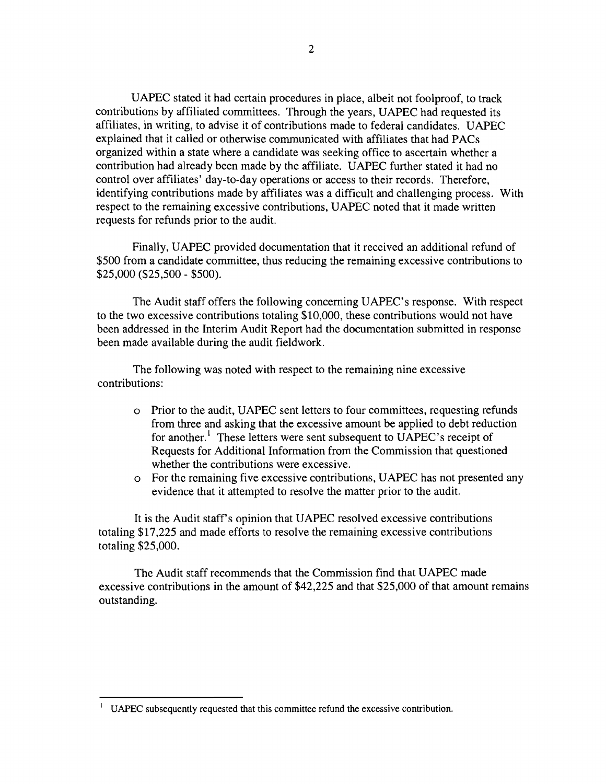UAPEC stated it had certain procedures in place, albeit not foolproof, to track contributions by affiliated committees. Through the years, UAPEC had requested its affiliates, in writing, to advise it of contributions made to federal candidates. UAPEC explained that it called or otherwise communicated with affiliates that had PACs organized within a state where a candidate was seeking office to ascertain whether a contribution had already been made by the affiliate. UAPEC further stated it had no control over affiliates' day-to-day operations or access to their records. Therefore, identifying contributions made by affiliates was a difficult and challenging process. With respect to the remaining excessive contributions, UAPEC noted that it made written requests for refunds prior to the audit.

Finally, UAPEC provided documentation that it received an additional refund of \$500 from a candidate committee, thus reducing the remaining excessive contributions to \$25,000 (\$25,500 - \$500).

The Audit staff offers the following concerning UAPEC's response. With respect to the two excessive contributions totaling \$10,000, these contributions would not have been addressed in the Interim Audit Report had the documentation submitted in response been made available during the audit fieldwork.

The following was noted with respect to the remaining nine excessive contributions:

- o Prior to the audit, UAPEC sent letters to four committees, requesting refunds from three and asking that the excessive amount be applied to debt reduction for another.<sup>1</sup> These letters were sent subsequent to UAPEC's receipt of Requests for Additional Information from the Commission that questioned whether the contributions were excessive.
- o For the remaining five excessive contributions, UAPEC has not presented any evidence that it attempted to resolve the matter prior to the audit.

It is the Audit staff's opinion that UAPEC resolved excessive contributions totaling \$17,225 and made efforts to resolve the remaining excessive contributions totaling \$25,000.

The Audit staff recommends that the Commission find that UAPEC made excessive contributions in the amount of \$42,225 and that \$25,000 of that amount remains outstanding.

I UAPEC subsequently requested that this committee refund the excessive contribution.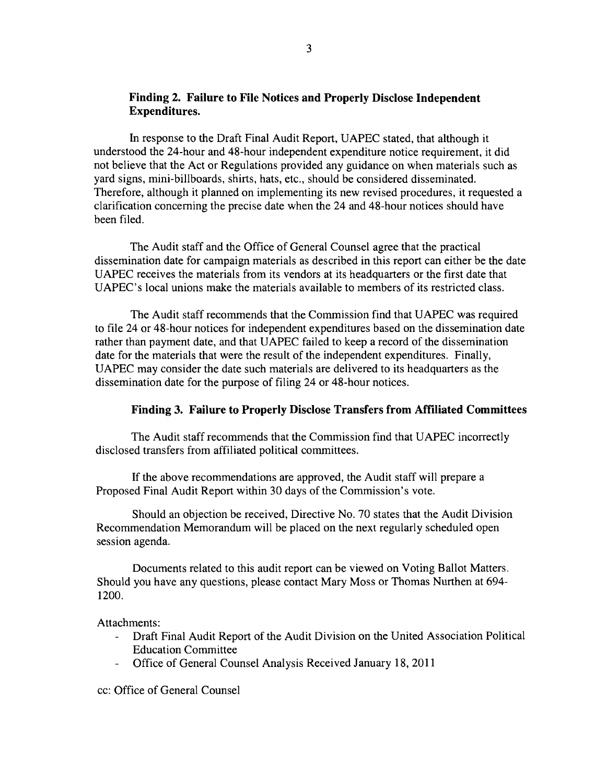#### Finding 2. Failure to File Notices and Properly Disclose Independent Expenditures.

In response to the Draft Final Audit Report, UAPEC stated, that although it understood the 24-hour and 48-hour independent expenditure notice requirement, it did not believe that the Act or Regulations provided any guidance on when materials such as yard signs, mini-billboards, shirts, hats, etc., should be considered disseminated. Therefore, although it planned on implementing its new revised procedures, it requested a clarification concerning the precise date when the 24 and 48-hour notices should have been filed.

The Audit staff and the Office of General Counsel agree that the practical dissemination date for campaign materials as described in this report can either be the date UAPEC receives the materials from its vendors at its headquarters or the first date that UAPEC's local unions make the materials available to members of its restricted class.

The Audit staff recommends that the Commission find that UAPEC was required to file 24 or 48-hour notices for independent expenditures based on the dissemination date rather than payment date, and that UAPEC failed to keep a record of the dissemination date for the materials that were the result of the independent expenditures. Finally, UAPEC may consider the date such materials are delivered to its headquarters as the dissemination date for the purpose of filing 24 or 48-hour notices.

#### Finding 3. Failure to Properly Disclose Transfers from Affiliated Committees

The Audit staff recommends that the Commission find that UAPEC incorrectly disclosed transfers from affiliated political committees.

If the above recommendations are approved, the Audit staff will prepare a Proposed Final Audit Report within 30 days of the Commission's vote.

Should an objection be received, Directive No. 70 states that the Audit Division Recommendation Memorandum will be placed on the next regularly scheduled open session agenda.

Documents related to this audit report can be viewed on Voting Ballot Matters. Should you have any questions, please contact Mary Moss or Thomas Nurthen at 694 1200.

Attachments:

- Draft Final Audit Report of the Audit Division on the United Association Political Education Committee
- Office of General Counsel Analysis Received January 18, 2011

cc: Office of General Counsel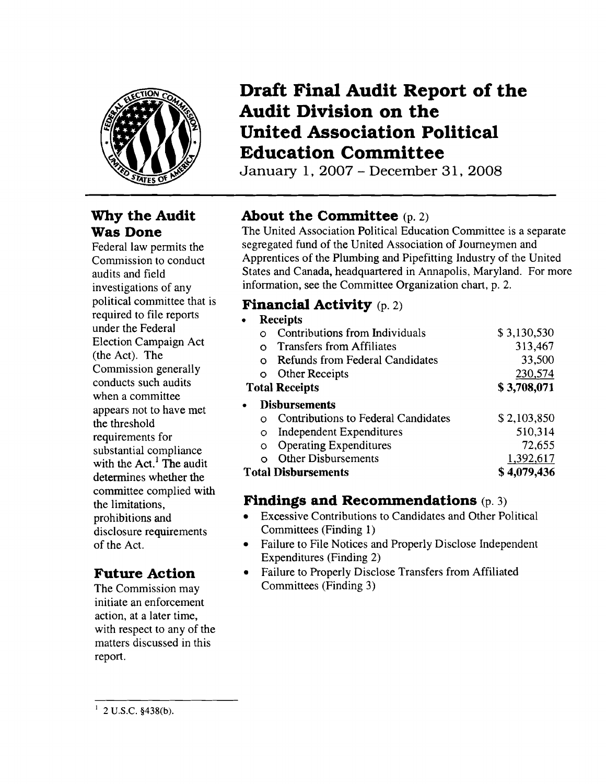

## **Why the Audit Was Done**

Federal law permits the Commission to conduct audits and field investigations of any political committee that is required to file reports under the Federal Election Campaign Act (the Act). The Commission generally conducts such audits when a committee appears not to have met the threshold requirements for substantial compliance with the  $Act<sup>1</sup>$  The audit determines whether the committee complied with the limitations, prohibitions and disclosure requirements of the Act.

# **Future Action**

The Commission may initiate an enforcement action, at a later time, with respect to any of the matters discussed in this report.

# **Draft Final Audit Report of the Audit Division on the United Association Political Education Committee**

January 1, 2007 - December 31, 2008

# **About the Committee** (p. 2)

The United Association Political Education Committee is a separate segregated fund of the United Association of Journeymen and Apprentices of the Plumbing and Pipefitting Industry of the United States and Canada, headquartered in Annapolis, Maryland. For more information, see the Committee Organization chart, p. 2.

## **Financial Activity** (p. 2)

| ٠                                         | <b>Receipts</b> |                                        |             |  |
|-------------------------------------------|-----------------|----------------------------------------|-------------|--|
|                                           |                 | Contributions from Individuals         | \$3,130,530 |  |
|                                           | റ               | Transfers from Affiliates              | 313,467     |  |
|                                           | റ               | <b>Refunds from Federal Candidates</b> | 33,500      |  |
|                                           | Ω               | Other Receipts                         | 230,574     |  |
| <b>Total Receipts</b>                     |                 |                                        | \$3,708,071 |  |
| $\bullet$                                 |                 | <b>Disbursements</b>                   |             |  |
|                                           |                 | Contributions to Federal Candidates    | \$2,103,850 |  |
|                                           | O               | <b>Independent Expenditures</b>        | 510,314     |  |
|                                           | O               | <b>Operating Expenditures</b>          | 72,655      |  |
|                                           |                 | <b>Other Disbursements</b>             | 1,392,617   |  |
| \$4,079,436<br><b>Total Disbursements</b> |                 |                                        |             |  |
|                                           |                 |                                        |             |  |

# **Findings and Recommendations** (p. 3)

- Excessive Contributions to Candidates and Other Political Committees (Finding 1)
- Failure to File Notices and Properly Disclose Independent Expenditures (Finding 2)
- • Failure to Properly Disclose Transfers from Affiliated Committees (Finding 3)

 $1$  2 U.S.C. §438(b).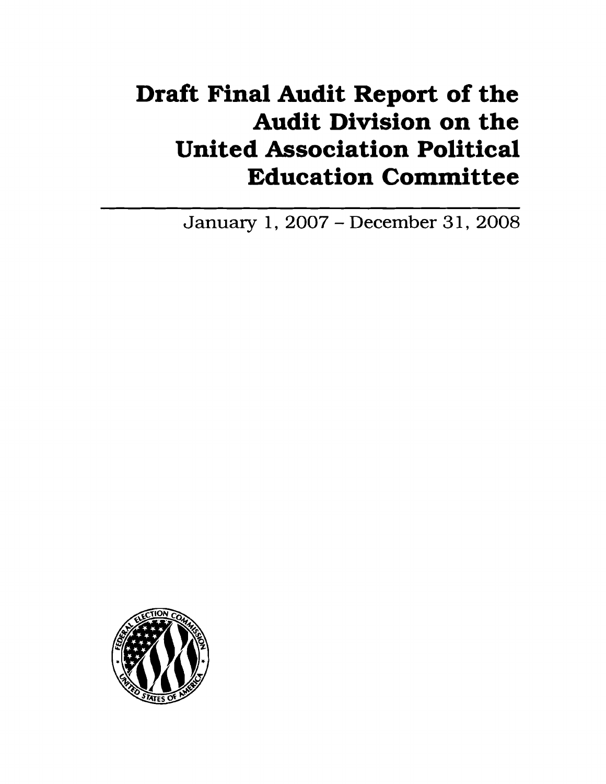# **Draft Final Audit Report of the Audit Division on the United Association Political Education Committee**

January 1, 2007 - December 31, 2008

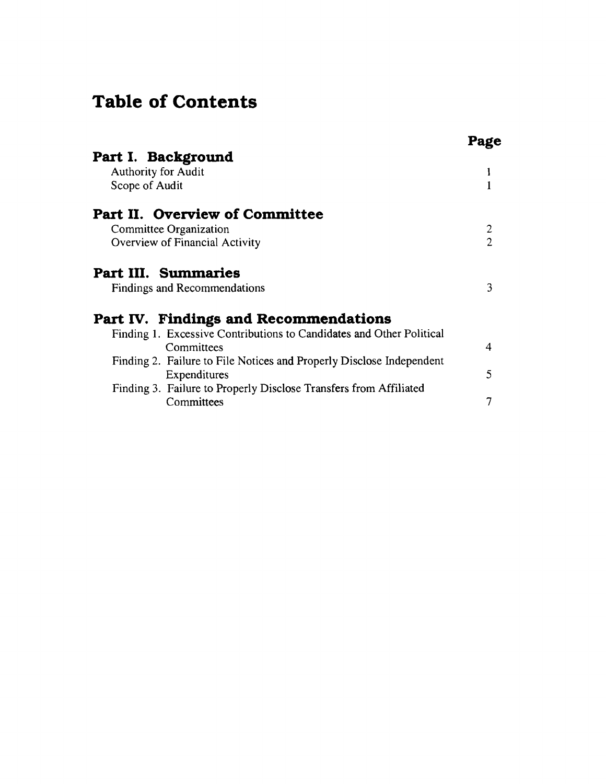# **Table of Contents**

| Part I. Background                                                   |                          |
|----------------------------------------------------------------------|--------------------------|
| <b>Authority for Audit</b>                                           |                          |
| Scope of Audit                                                       |                          |
| <b>Part II. Overview of Committee</b>                                |                          |
| Committee Organization                                               | $\overline{2}$           |
| Overview of Financial Activity                                       | $\overline{\mathcal{L}}$ |
| Part III. Summaries                                                  |                          |
| <b>Findings and Recommendations</b>                                  | 3                        |
| Part IV. Findings and Recommendations                                |                          |
| Finding 1. Excessive Contributions to Candidates and Other Political |                          |
| Committees                                                           | 4                        |
| Finding 2. Failure to File Notices and Properly Disclose Independent |                          |
| Expenditures                                                         | 5                        |
| Finding 3. Failure to Properly Disclose Transfers from Affiliated    |                          |
| Committees                                                           | 7                        |
|                                                                      |                          |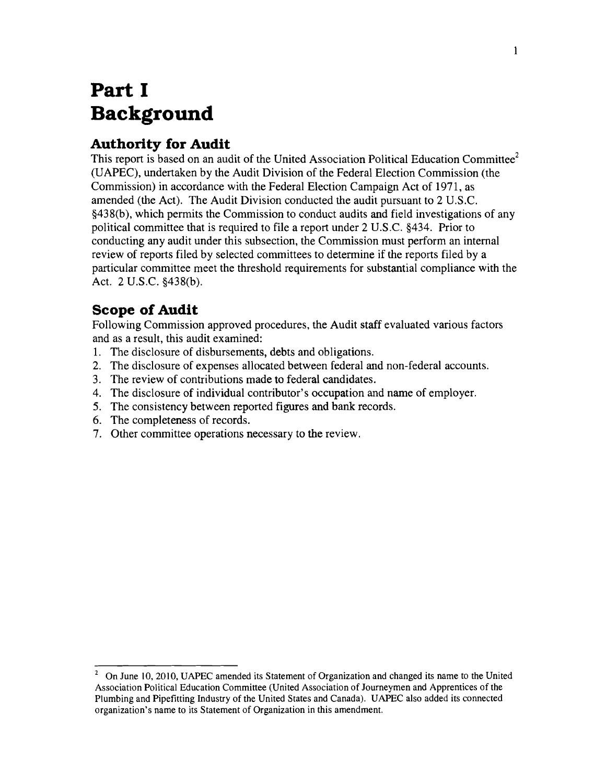# **Part I Background**

## **Authority for Audit**

This report is based on an audit of the United Association Political Education Committee<sup>2</sup> (UAPEC), undertaken by the Audit Division of the Federal Election Commission (the Commission) in accordance with the Federal Election Campaign Act of 1971, as amended (the Act). The Audit Division conducted the audit pursuant to 2 U.S.C. §438(b), which permits the Commission to conduct audits and field investigations of any political committee that is required to file a report under 2 U.S.c. §434. Prior to conducting any audit under this subsection, the Commission must perform an internal review of reports filed by selected committees to determine if the reports filed by a particular committee meet the threshold requirements for substantial compliance with the Act. 2 U.S.C. §438(b).

### **Scope of Audit**

Following Commission approved procedures, the Audit staff evaluated various factors and as a result, this audit examined:

- 1. The disclosure of disbursements, debts and obligations.
- 2. The disclosure of expenses allocated between federal and non-federal accounts.
- 3. The review of contributions made to federal candidates.
- 4. The disclosure of individual contributor's occupation and name of employer.
- 5. The consistency between reported figures and bank records.
- 6. The completeness of records.
- 7. Other committee operations necessary to the review.

On June 10, 2010, UAPEC amended its Statement of Organization and changed its name to the United Association Political Education Committee (United Association of Journeymen and Apprentices of the Plumbing and Pipefitting Industry of the United States and Canada). UAPEC also added its connected organization's name to its Statement of Organization in this amendment. 2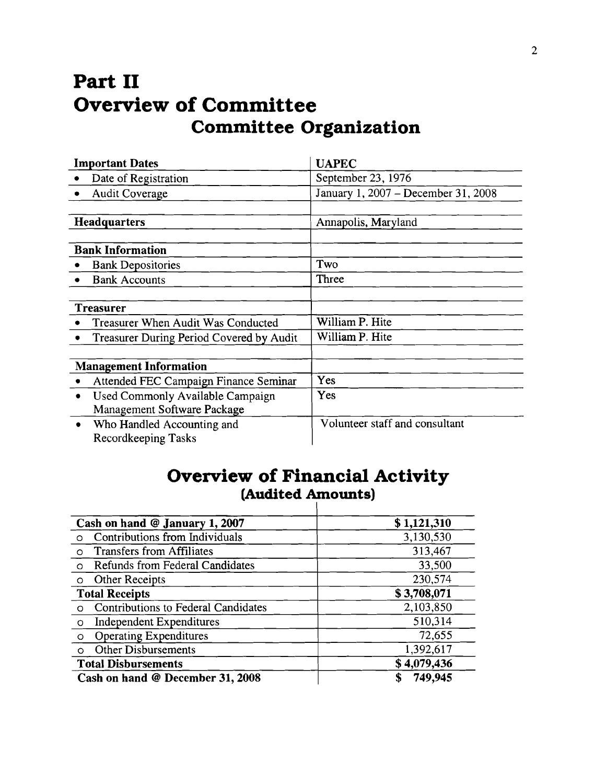# **Part II Overview of Committee Committee Organization**

| <b>Important Dates</b>  |                                                 | <b>UAPEC</b>                        |  |
|-------------------------|-------------------------------------------------|-------------------------------------|--|
|                         | Date of Registration                            | September 23, 1976                  |  |
|                         | <b>Audit Coverage</b>                           | January 1, 2007 - December 31, 2008 |  |
|                         |                                                 |                                     |  |
| <b>Headquarters</b>     |                                                 | Annapolis, Maryland                 |  |
|                         |                                                 |                                     |  |
| <b>Bank Information</b> |                                                 |                                     |  |
|                         | <b>Bank Depositories</b>                        | Two                                 |  |
|                         | <b>Bank Accounts</b>                            | Three                               |  |
|                         |                                                 |                                     |  |
| <b>Treasurer</b>        |                                                 |                                     |  |
|                         | Treasurer When Audit Was Conducted              | William P. Hite                     |  |
|                         | <b>Treasurer During Period Covered by Audit</b> | William P. Hite                     |  |
|                         |                                                 |                                     |  |
|                         | <b>Management Information</b>                   |                                     |  |
|                         | Attended FEC Campaign Finance Seminar           | Yes                                 |  |
| $\bullet$               | Used Commonly Available Campaign                | Yes                                 |  |
|                         | Management Software Package                     |                                     |  |
| $\bullet$               | Who Handled Accounting and                      | Volunteer staff and consultant      |  |
|                         | Recordkeeping Tasks                             |                                     |  |

# **Overview of Financial Activity (Audited Amounts)**

| Cash on hand @ January 1, 2007                  | \$1,121,310  |
|-------------------------------------------------|--------------|
| Contributions from Individuals<br>$\Omega$      | 3,130,530    |
| <b>Transfers from Affiliates</b><br>$\circ$     | 313,467      |
| Refunds from Federal Candidates<br>$\circ$      | 33,500       |
| Other Receipts<br>$\circ$                       | 230,574      |
| <b>Total Receipts</b>                           | \$3,708,071  |
| Contributions to Federal Candidates<br>$\Omega$ | 2,103,850    |
| <b>Independent Expenditures</b><br>$\circ$      | 510,314      |
| <b>Operating Expenditures</b><br>$\circ$        | 72,655       |
| <b>Other Disbursements</b><br>$\Omega$          | 1,392,617    |
| <b>Total Disbursements</b>                      | \$4,079,436  |
| Cash on hand @ December 31, 2008                | 749,945<br>S |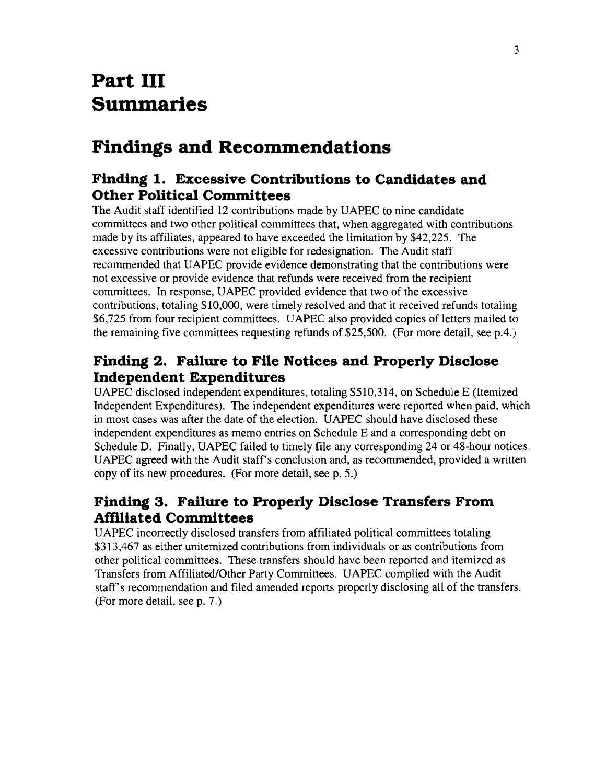# **Part III Summaries**

# **Findings and Recommendations**

### **Finding 1. Excessive Contributions to Candidates and Other Political Committees**

The Audit staff identified 12 contributions made by UAPEC to nine candidate committees and two other political committees that, when aggregated with contributions made by its affiliates, appeared to have exceeded the limitation by \$42,225. The excessive contributions were not eligible for redesignation. The Audit staff recommended that UAPEC provide evidence demonstrating that the contributions were not excessive or provide evidence that refunds were received from the recipient committees. In response, UAPEC provided evidence that two of the excessive contributions, totaling \$10,000, were timely resolved and that it received refunds totaling \$6,725 from four recipient committees. UAPEC also provided copies of letters mailed to the remaining five committees requesting refunds of \$25,500. (For more detail, see p.4.)

## **Finding 2. Failure to File Notices and Properly Disclose Independent Expenditures**

UAPEC disclosed independent expenditures, totaling \$510,314, on Schedule E (Itemized Independent Expenditures). The independent expenditures were reported when paid, which in most cases was after the date of the election. UAPEC should have disclosed these independent expenditures as memo entries on Schedule E and a corresponding debt on Schedule D. Finally, UAPEC failed to timely file any corresponding 24 or 48-hour notices. UAPEC agreed with the Audit staff's conclusion and, as recommended, provided a written copy of its new procedures. (For more detail, see p. 5.)

# **Finding 3. Failure to Properly Disclose Transfers From Mfiliated Committees**

UAPEC incorrectly disclosed transfers from affiliated political committees totaling \$313,467 as either unitemized contributions from individuals or as contributions from other political committees. These transfers should have been reported and itemized as Transfers from Affiliated/Other Party Committees. UAPEC complied with the Audit staff's recommendation and filed amended reports properly disclosing all of the transfers. (For more detail, see p. 7.)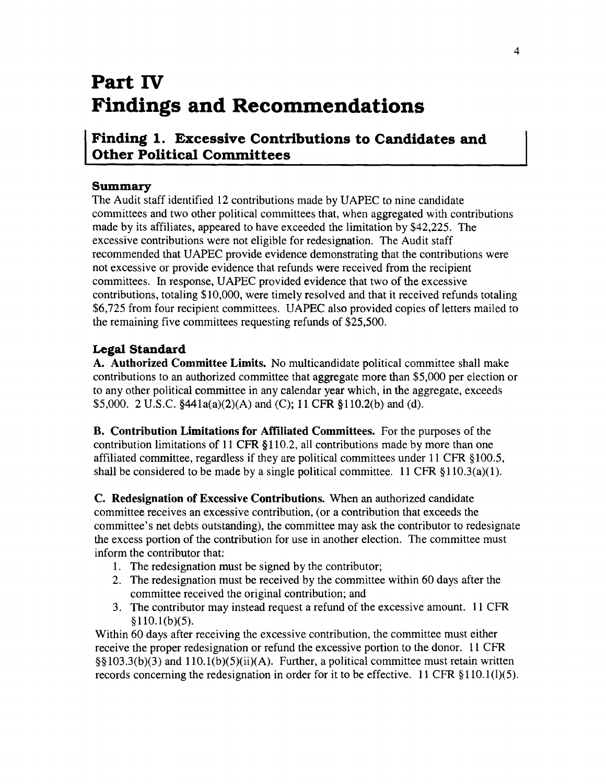# **Part IV Findings and Recommendations**

### **Finding 1. Excessive Contributions to Candidates and Other Political Committees**

### **Summary**

The Audit staff identified 12 contributions made by UAPEC to nine candidate committees and two other political committees that, when aggregated with contributions made by its affiliates, appeared to have exceeded the limitation by \$42,225. The excessive contributions were not eligible for redesignation. The Audit staff recommended that UAPEC provide evidence demonstrating that the contributions were not excessive or provide evidence that refunds were received from the recipient committees. In response, UAPEC provided evidence that two of the excessive contributions, totaling \$10,000, were timely resolved and that it received refunds totaling \$6,725 from four recipient committees. UAPEC also provided copies of letters mailed to the remaining five committees requesting refunds of \$25,500.

### **Legal Standard**

A. Authorized Committee Limits. No multicandidate political committee shall make contributions to an authorized committee that aggregate more than \$5,000 per election or to any other political committee in any calendar year which, in the aggregate, exceeds \$5,000. 2 U.S.C. §441a(a)(2)(A) and (C); 11 CFR §110.2(b) and (d).

B. Contribution Limitations for Affiliated Committees. For the purposes of the contribution limitations of 11 CFR §110.2, all contributions made by more than one affiliated committee, regardless if they are political committees under 11 CFR §100.5, shall be considered to be made by a single political committee. 11 CFR  $\S 110.3(a)(1)$ .

C. Redesignation of Excessive Contributions. When an authorized candidate committee receives an excessive contribution, (or a contribution that exceeds the committee's net debts outstanding), the committee may ask the contributor to redesignate the excess portion of the contribution for use in another election. The committee must inform the contributor that:

- 1. The redesignation must be signed by the contributor;
- 2. The redesignation must be received by the committee within 60 days after the committee received the original contribution; and
- 3. The contributor may instead request a refund of the excessive amount. 11 CFR  $$110.1(b)(5).$

Within 60 days after receiving the excessive contribution, the committee must either receive the proper redesignation or refund the excessive portion to the donor. 11 CFR  $\S(5|103.3(b)(3))$  and  $110.1(b)(5)(ii)(A)$ . Further, a political committee must retain written records concerning the redesignation in order for it to be effective. 11 CFR §110.1(1)(5).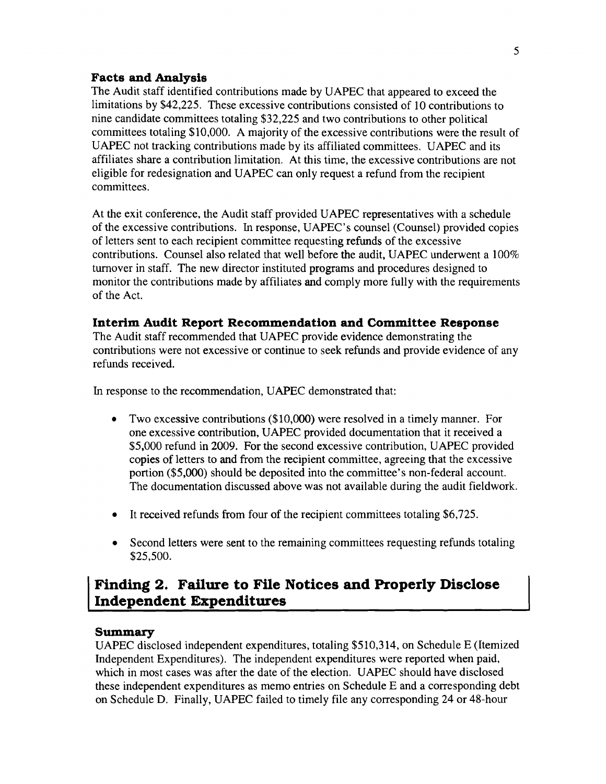#### **Facts and Analysis**

The Audit staff identified contributions made by UAPEC that appeared to exceed the limitations by \$42,225. These excessive contributions consisted of 10 contributions to nine candidate committees totaling \$32,225 and two contributions to other political committees totaling \$10,000. A majority of the excessive contributions were the result of UAPEC not tracking contributions made by its affiliated committees. UAPEC and its affiliates share a contribution limitation. At this time, the excessive contributions are not eligible for redesignation and UAPEC can only request a refund from the recipient committees.

At the exit conference, the Audit staff provided UAPEC representatives with a schedule of the excessive contributions. In response, UAPEC's counsel (Counsel) provided copies of letters sent to each recipient committee requesting refunds of the excessive contributions. Counsel also related that well before the audit, UAPEC underwent a 100% turnover in staff. The new director instituted programs and procedures designed to monitor the contributions made by affiliates and comply more fully with the requirements of the Act.

### **Interim Audit Report Recommendation and Committee Response**

The Audit staff recommended that UAPEC provide evidence demonstrating the contributions were not excessive or continue to seek refunds and provide evidence of any refunds received.

In response to the recommendation, UAPEC demonstrated that:

- Two excessive contributions (\$10,000) were resolved in a timely manner. For one excessive contribution, UAPEC provided documentation that it received a \$5,000 refund in 2009. For the second excessive contribution, UAPEC provided copies of letters to and from the recipient committee, agreeing that the excessive portion (\$5,000) should be deposited into the committee's non-federal account. The documentation discussed above was not available during the audit fieldwork.
- It received refunds from four of the recipient committees totaling \$6,725.
- Second letters were sent to the remaining committees requesting refunds totaling \$25,500.

### **Finding 2. Failure to File Notices and Properly Disclose Independent Expenditures**

### **Summary**

UAPEC disclosed independent expenditures, totaling \$510,314, on Schedule E (Itemized Independent Expenditures). The independent expenditures were reported when paid, which in most cases was after the date of the election. UAPEC should have disclosed these independent expenditures as memo entries on Schedule E and a corresponding debt on Schedule D. Finally, UAPEC failed to timely file any corresponding 24 or 48-hour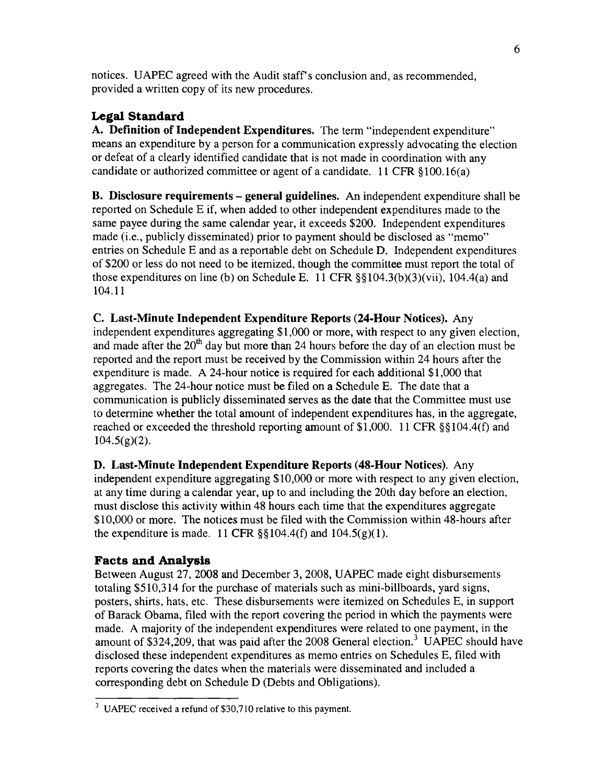notices. UAPEC agreed with the Audit staff's conclusion and, as recommended, provided a written copy of its new procedures.

### **Legal Standard**

A. Definition of Independent Expenditures. The term "independent expenditure" means an expenditure by a person for a communication expressly advocating the election or defeat of a clearly identified candidate that is not made in coordination with any candidate or authorized committee or agent of a candidate. 11 CFR §100.16(a)

B. Disclosure requirements - general guidelines. An independent expenditure shall be reported on Schedule E if, when added to other independent expenditures made to the same payee during the same calendar year, it exceeds \$200. Independent expenditures made (i.e., publicly disseminated) prior to payment should be disclosed as "memo" entries on Schedule E and as a reportable debt on Schedule D. Independent expenditures of \$200 or less do not need to be itemized, though the committee must report the total of those expenditures on line (b) on Schedule E. 11 CFR §§ 104.3(b)(3)(vii), 104.4(a) and 104.11

c. Last-Minute Independent Expenditure Reports (24-Hour Notices). Any independent expenditures aggregating \$1,000 or more, with respect to any given election, and made after the  $20<sup>th</sup>$  day but more than 24 hours before the day of an election must be reported and the report must be received by the Commission within 24 hours after the expenditure is made. A 24-hour notice is required for each additional \$1,000 that aggregates. The 24-hour notice must be filed on a Schedule E. The date that a communication is publicly disseminated serves as the date that the Committee must use to determine whether the total amount of independent expenditures has, in the aggregate, reached or exceeded the threshold reporting amount of \$1 ,000. 11 CFR §§ 104.4(f) and  $104.5(g)(2)$ .

D. Last-Minute Independent Expenditure Reports (48-Hour Notices). Any independent expenditure aggregating \$10,000 or more with respect to any given election, at any time during a calendar year, up to and including the 20th day before an election, must disclose this activity within 48 hours each time that the expenditures aggregate \$10,000 or more. The notices must be filed with the Commission within 48-hours after the expenditure is made. 11 CFR  $\S$ §104.4(f) and 104.5(g)(1).

### **Facts and Analysis**

Between August 27, 2008 and December 3,2008, UAPEC made eight disbursements totaling \$510,314 for the purchase of materials such as mini-billboards, yard signs, posters, shirts, hats, etc. These disbursements were itemized on Schedules E, in support of Barack Obama, filed with the report covering the period in which the payments were made. A majority of the independent expenditures were related to one payment, in the amount of \$324,209, that was paid after the 2008 General election? UAPEC should have disclosed these independent expenditures as memo entries on Schedules E, filed with reports covering the dates when the materials were disseminated and included a corresponding debt on Schedule D (Debts and Obligations).

<sup>&</sup>lt;sup>3</sup> UAPEC received a refund of \$30,710 relative to this payment.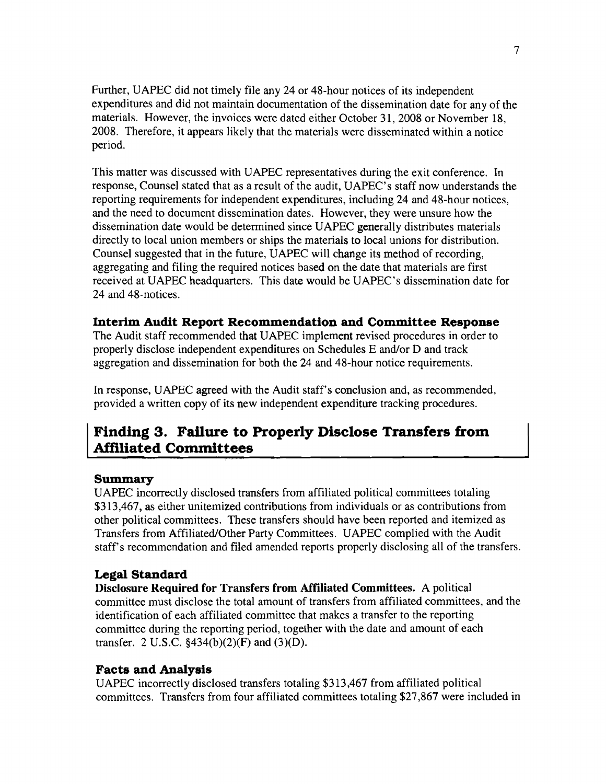Further, UAPEC did not timely file any 24 or 48-hour notices of its independent expenditures and did not maintain documentation of the dissemination date for any of the materials. However, the invoices were dated either October 31,2008 or November 18, 2008. Therefore, it appears likely that the materials were disseminated within a notice period.

This matter was discussed with UAPEC representatives during the exit conference. In response, Counsel stated that as a result of the audit, UAPEC's staff now understands the reporting requirements for independent expenditures, including 24 and 48-hour notices, and the need to document dissemination dates. However, they were unsure how the dissemination date would be determined since UAPEC generally distributes materials directly to local union members or ships the materials to local unions for distribution. Counsel suggested that in the future, UAPEC will change its method of recording, aggregating and filing the required notices based on the date that materials are first received at UAPEC headquarters. This date would be UAPEC's dissemination date for 24 and 48-notices.

### **Interim Audit Report Recommendation and Committee Response**

The Audit staff recommended that UAPEC implement revised procedures in order to properly disclose independent expenditures on Schedules E and/or D and track aggregation and dissemination for both the 24 and 48-hour notice requirements.

In response, UAPEC agreed with the Audit staff's conclusion and, as recommended, provided a written copy of its new independent expenditure tracking procedures.

### **Finding 3. Failure to Properly Disclose Transfers from Affiliated Committees**

### **Summary**

UAPEC incorrectly disclosed transfers from affiliated political committees totaling \$313,467, as either unitemized contributions from individuals or as contributions from other political committees. These transfers should have been reported and itemized as Transfers from Affiliated/Other Party Committees. UAPEC complied with the Audit staff's recommendation and filed amended reports properly disclosing all of the transfers.

### **Legal Standard**

**Disclosure Required for Transfers from Affiliated Committees.** A political committee must disclose the total amount of transfers from affiliated committees, and the identification of each affiliated committee that makes a transfer to the reporting committee during the reporting period, together with the date and amount of each transfer. 2 U.S.C.  $$434(b)(2)(F)$  and  $(3)(D)$ .

### **Facts and Analysis**

UAPEC incorrectly disclosed transfers totaling \$313,467 from affiliated political committees. Transfers from four affiliated committees totaling \$27 ,867 were included in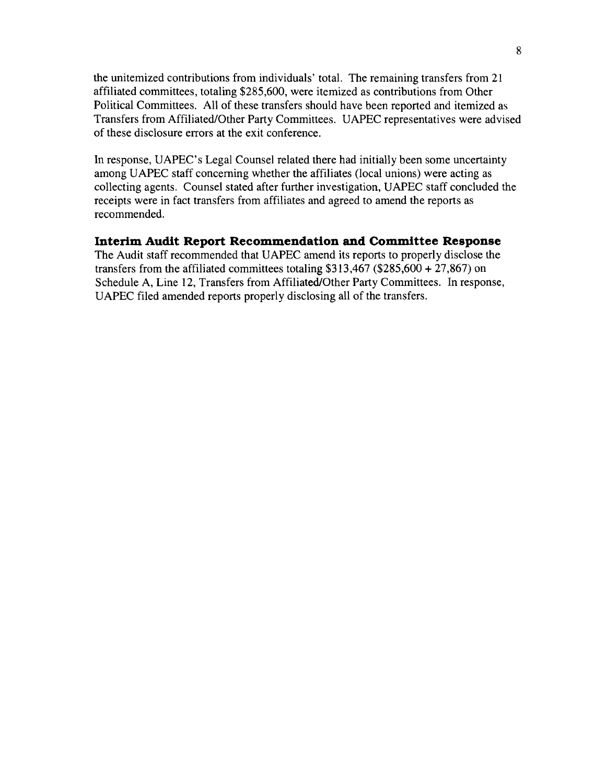the unitemized contributions from individuals' total. The remaining transfers from 21 affiliated committees, totaling \$285,600, were itemized as contributions from Other Political Committees. All of these transfers should have been reported and itemized as Transfers from Affiliated/Other Party Committees. UAPEC representatives were advised of these disclosure errors at the exit conference.

**In** response, UAPEC's Legal Counsel related there had initially been some uncertainty among UAPEC staff concerning whether the affiliates (local unions) were acting as collecting agents. Counsel stated after further investigation, UAPEC staff concluded the receipts were in fact transfers from affiliates and agreed to amend the reports as recommended.

### **Interim Audit Report Recommendation and Committee Response**

The Audit staff recommended that UAPEC amend its reports to properly disclose the transfers from the affiliated committees totaling  $$313,467$  (\$285,600 + 27,867) on Schedule A, Line 12, Transfers from Affiliated/Other Party Committees. In response, UAPEC filed amended reports properly disclosing all of the transfers.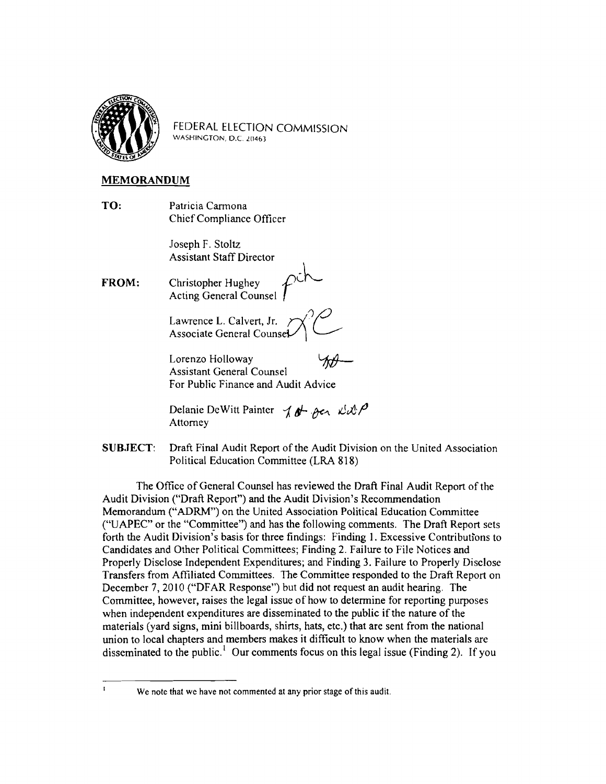

FEDERAL ELECTION COMMISSION WASHINGTON, D.C. 20463

#### MEMORANDUM

TO: Patricia Carmona Chief Compliance Officer

> Joseph F. Stoltz Assistant Staff Director

FROM: Christopher Hughey Acting General Counsel

> Lawrence L. Calvert, Jr.  $\forall$ Associate General Counset

> Lorenzo Holloway Assistant General Counsel For Public Finance and Audit Advice

Delanie DeWitt Painter  $10 + \theta$  . Acr  $100$ Attorney

SUBJECT: Draft Final Audit Report of the Audit Division on the United Association Political Education Committee (LRA 818)

ľ

The Office of General Counsel has reviewed the Draft Final Audit Report of the Audit Division ("Draft Report") and the Audit Division's Recommendation Memorandum ("ADRM") on the United Association Political Education Committee ("UAPEC" or the "Committee") and has the following comments. The Draft Report sets forth the Audit Division's basis for three findings: Finding 1. Excessive Contributions to Candidates and Other Political Committees; Finding 2. Failure to File Notices and Properly Disclose Independent Expenditures; and Finding 3. Failure to Properly Disclose Transfers from Affiliated Committees. The Committee responded to the Draft Report on December 7, 2010 ("DFAR Response") but did not request an audit hearing. The Committee, however, raises the legal issue of how to determine for reporting purposes when independent expenditures are disseminated to the public if the nature of the materials (yard signs, mini billboards, shirts, hats, etc.) that are sent from the national union to local chapters and members makes it difficult to know when the materials are disseminated to the public.<sup>1</sup> Our comments focus on this legal issue (Finding 2). If you

We note that we have not commented at any prior stage of this audit.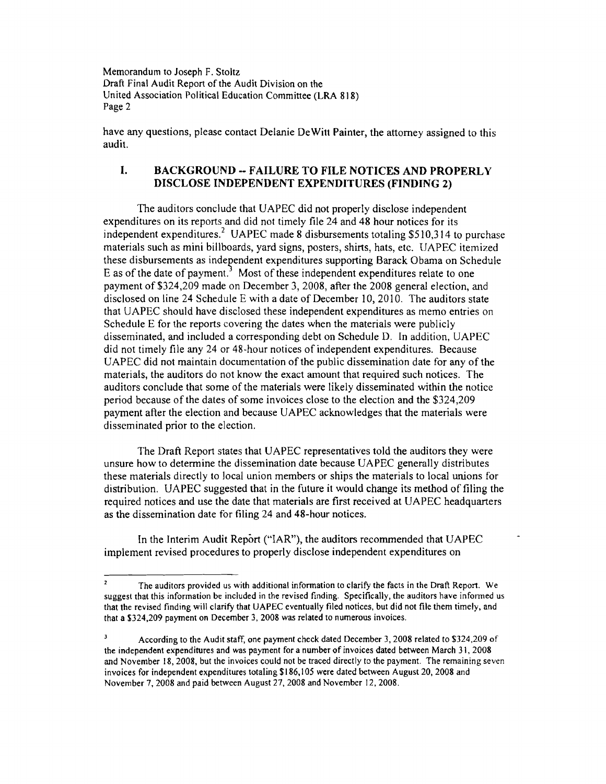Memorandum to Joseph F. Stoltz Draft Final Audit Report of the Audit Division on the United Association Political Education Committee (LRA 8) 8) Page 2

have any questions, please contact Delanie DeWitt Painter, the attorney assigned to this audit.

#### I. BACKGROUND -- FAILURE TO FILE NOTICES AND PROPERLY DISCLOSE INDEPENDENT EXPENDITURES (FINDING 2)

The auditors conclude that UAPEC did not properly disclose independent expenditures on its reports and did not timely file 24 and 48 hour notices for its independent expenditures.<sup>2</sup> UAPEC made 8 disbursements totaling \$510,314 to purchase materials such as mini billboards, yard signs, posters, shirts, hats, etc. UAPEC itemized these disbursements as independent expenditures supporting Barack Obama on Schedule E as of the date of payment.<sup>3</sup> Most of these independent expenditures relate to one payment of \$324,209 made on December 3, 2008, after the 2008 general election, and disclosed on line 24 Schedule E with a date of December 10, 2010. The auditors state that UAPEC should have disclosed these independent expenditures as memo entries on Schedule E for the reports covering the dates when the materials were publicly disseminated, and included a corresponding debt on Schedule D. In addition, UAPEC did not timely file any 24 or 48-hour notices of independent expenditures. Because UAPEC did not maintain documentation of the public dissemination date for any of the materials, the auditors do not know the exact amount that required such notices. The auditors conclude that some of the materials were likely disseminated within the notice period because of the dates of some invoices close to the election and the \$324,209 payment after the election and because UAPEC acknowledges that the materials were disseminated prior to the election.

The Draft Report states that UAPEC representatives told the auditors they were unsure how to detennine the dissemination date because UAPEC generally distributes these materials directly to local union members or ships the materials to local unions for distribution. UAPEC suggested that in the future it would change its method of filing the required notices and use the date that materials are first received at UAPEC headquarters as the dissemination date for filing 24 and 48-hour notices.

In the Interim Audit Report ("IAR"), the auditors recommended that UAPEC implement revised procedures to properly disclose independent expenditures on

The auditors provided us with additional information to clarify the facts in the Draft Report. We suggest that this information be included in the revised finding. Specifically, the auditors have informed us that the revised finding will clarify that UAPEC eventually filed notices, but did not file them timely, and that a \$324,209 payment on December 3, 2008 was related to numerous invoices.

 $\mathbf 3$ According to the Audit staff, one payment check dated December 3,2008 related to \$324,209 of the independent expenditures and was payment for a number of invoices dated between March 31, 2008 and November 18,2008, but the invoices could not be traced directly to the payment. The remaining seven invoices for independent expenditures totaling \$186.105 were dated between August 20, 2008 and November 7,2008 and paid between August 27,2008 and November 12,2008.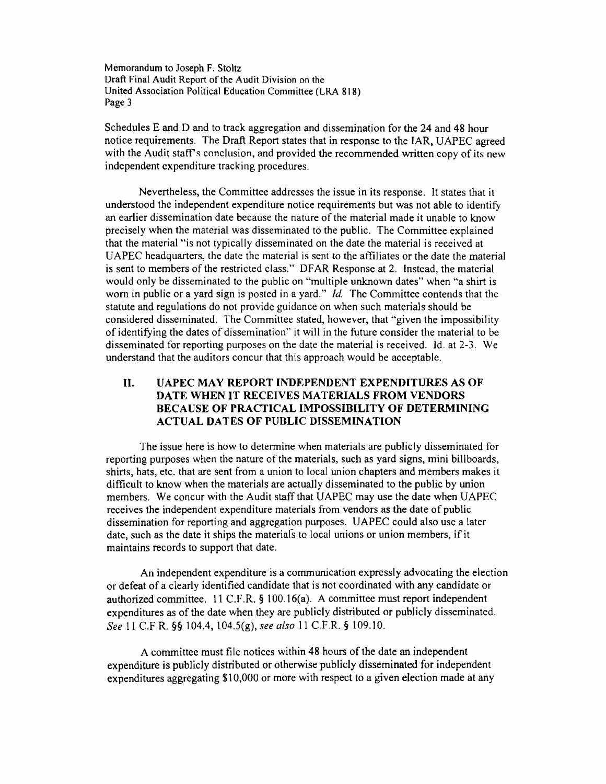Memorandum to Joseph F. Stoltz Draft Final Audit Report of the Audit Division on the United Association Political Education Committee (LRA 818) Page 3

Schedules E and D and to track aggregation and dissemination for the 24 and 48 hour notice requirements. The Draft Report states that in response to the IAR, UAPEC agreed with the Audit staff's conclusion, and provided the recommended written copy of its new independent expenditure tracking procedures.

Nevertheless, the Committee addresses the issue in its response. It states that it understood the independent expenditure notice requirements but was not able to identify an earlier dissemination date because the nature of the material made it unable to know precisely when the material was disseminated to the public. The Committee explained that the material "is not typically disseminated on the date the material is received at UAPEC headquarters, the date the material is sent to the affiliates or the date the material is sent to members of the restricted class." DFAR Response at 2. Instead, the material would only be disseminated to the public on "multiple unknown dates" when "a shirt is worn in public or a yard sign is posted in a yard." *Id.* The Committee contends that the statute and regulations do not provide guidance on when such materials should be considered disseminated. The Committee stated, however, that "given the impossibility of identifying the dates of dissemination" it will in the future consider the material to be disseminated for reporting purposes on the date the material is received. Id. at 2-3. We understand that the auditors concur that this approach would be acceptable.

#### II. UAPEC MAY REPORT INDEPENDENT EXPENDITURES AS OF DATE WHEN IT RECEIVES MATERIALS FROM VENDORS BECAUSE OF PRACTICAL IMPOSSIBILITY OF DETERMINING ACTUAL DATES OF PUBLIC DISSEMINATION

The issue here is how to determine when materials are publicly disseminated for reporting purposes when the nature of the materials, such as yard signs, mini billboards, shirts, hats, etc. that are sent from a union to local union chapters and members makes it difficult to know when the materials are actually disseminated to the public by union members. We concur with the Audit staff that UAPEC may use the date when UAPEC receives the independent expenditure materials from vendors as the date of public dissemination for reporting and aggregation purposes. UAPEC could also use a later date, such as the date it ships the materials to local unions or union members, if it maintains records to support that date.

An independent expenditure is a communication expressly advocating the election or defeat of a clearly identified candidate that is not coordinated with any candidate or authorized committee. 11 C.F.R. § 100.16(a). A committee must report independent expenditures as of the date when they are publicly distributed or publicly disseminated. *See* 11 C.F.R. §§ 104.4, 104.5(g), *see also* 11 C.F.R. § 109.10.

A committee must file notices within 48 hours of the date an independent expenditure is publicly distributed or otherwise publicly disseminated for independent expenditures aggregating \$10,000 or more with respect to a given election made at any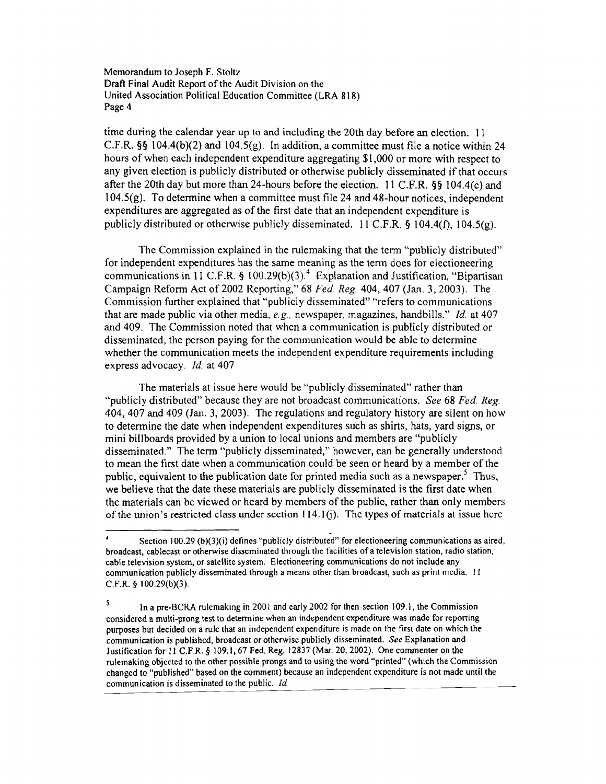Memorandum to Joseph F. Stoltz Draft Final Audit Report of the Audit Division on the United Association Political Education Committee (LRA 818) Page 4

time during the calendar year up to and including the 20th day before an election. 11 C.F.R. §§ 104.4(b)(2) and 104.5(g). In addition, a committee must file a notice within 24 hours of when each independent expenditure aggregating \$1,000 or more with respect to any given election is publicly distributed or otherwise publicly disseminated if that occurs after the 20th day but more than 24-hours before the election. II C.F.R. §§ 104.4(c) and 104.5(g). To determine when a committee must file 24 and 48-hour notices, independent expenditures are aggregated as of the first date that an independent expenditure is publicly distributed or otherwise publicly disseminated. 11 C.F.R. § 104.4(f), 104.5(g).

The Commission explained in the rulemaking that the term "publicly distributed" for independent expenditures has the same meaning as the term does for electioneering communications in 11 C.F.R. § 100.29(b)(3).<sup>4</sup> Explanation and Justification, "Bipartisan Campaign Refonn Act of 2002 Reporting," 68 *Fed. Reg.* 404,407 (Jan. 3,2003). The Commission further explained that "publicly disseminated" "refers to communications that are made public via other media, *e.g.,* newspaper, magazines, handbills." *ld.* at 407 and 409. The Commission noted that when a communication is publicly distributed or disseminated, the person paying for the communication would be able to determine whether the communication meets the independent expenditure requirements including express advocacy. *ld.* at 407

The materials at issue here would be "publicly disseminated" rather than "publicly distributed" because they are not broadcast communications. *See* 68 *Fed. Reg.*  404, 407 and 409 (Jan. 3, 2003). The regulations and regulatory history are silent on how to determine the date when independent expenditures such as shirts, hats, yard signs, or mini billboards provided by a union to local unions and members are "publicly disseminated." The term "publicly disseminated," however, can be generally understood to mean the first date when a communication could be seen or heard by a member of the public, equivalent to the publication date for printed media such as a newspaper.<sup>5</sup> Thus, we believe that the date these materials are publicly disseminated is the first date when the materials can be viewed or heard by members of the public, rather than only members of the union's restricted class under section  $114.1$  (j). The types of materials at issue here

<sup>.</sup> Section 100.29 (b)(3)(i) defines "publicly distributed" for electioneering communications as aired, broadcast, cablecast or otherwise disseminated through the facilities of a television station, radio station, cable television system, or satellite system. Electioneering communications do not include any communication publicly disseminated through a means other than broadcast, such as print media. II C.F.R. § IOO.29(b)(3).

<sup>5</sup> In a pre-SCRA rulemaking in 2001 and early 2002 for then-section 109.1, the Commission considered a multi-prong test to determine when an independent expenditure was made for reporting purposes but decided on a rule that an independent expenditure is made on the first date on which the communication is published, broadcast or otherwise publicly disseminated. *See* Explanation and Justification for II C.F.R. § 109.1,67 Fed. Reg. 12837 (Mar. 20,2002). One commenter on the rulemaking objected to the other possible prongs and to using the word "printed" (which the Commission changed to "published" based on the comment) because an independent expenditure is not made until the communication is disseminated to the public. */d*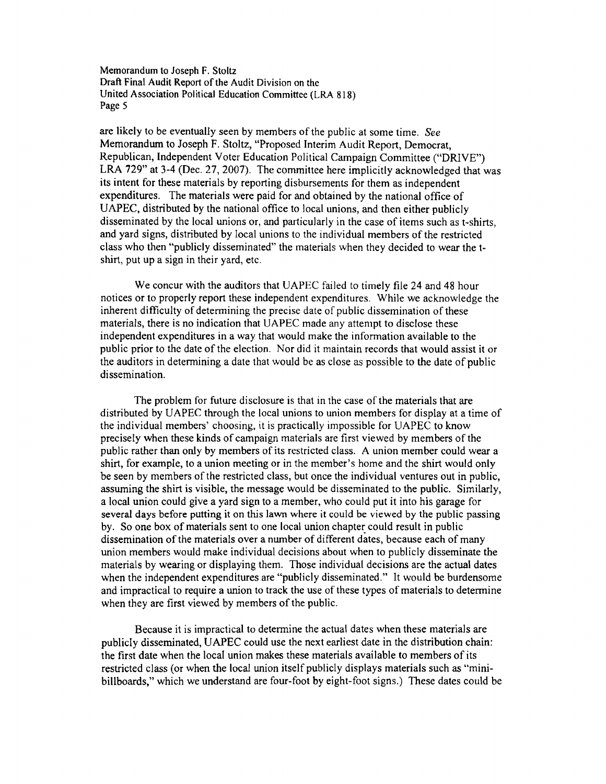Memorandum to Joseph F. Stoltz Draft Final Audit Report of the Audit Division on the United Association Political Education Committee (LM 818) Page 5

are likely to be eventually seen by members of the public at some time. *See*  Memorandum to Joseph F. Stoltz, "Proposed Interim Audit Report, Democrat, Republican, Independent Voter Education Political Campaign Committee ("DRIVE") LRA 729" at 3-4 (Dec. 27, 2007). The committee here implicitly acknowledged that was its intent for these materials by reporting disbursements for them as independent expenditures. The materials were paid for and obtained by the national office of UAPEC, distributed by the national office to local unions, and then either publicly disseminated by the local unions or, and particularly in the case of items such as t-shirts, and yard signs, distributed by local unions to the individual members of the restricted class who then "publicly disseminated" the materials when they decided to wear the tshirt, put up a sign in their yard, etc.

We concur with the auditors that UAPEC failed to timely file 24 and 48 hour notices or to properly report these independent expenditures. While we acknowledge the inherent difficulty of determining the precise date of public dissemination of these materials, there is no indication that UAPEC made any attempt to disclose these independent expenditures in a way that would make the infonnation available to the public prior to the date of the election. Nor did it maintain records that would assist it or the auditors in detennining a date that would be as close as possible to the date of public dissemination.

The problem for future disclosure is that in the case of the materials that are distributed by UAPEC through the local unions to union members for display at a time of the individual members' choosing. it is practically impossible for UAPEC to know precisely when these kinds of campaign materials are first viewed by members of the public rather than only by members of its restricted class. A union member could wear a shirt, for example, to a union meeting or in the member's home and the shirt would only be seen by members of the restricted class, but once the individual ventures out in public, assuming the shirt is visible, the message would be disseminated to the public. Similarly, a local union could give a yard sign to a member, who could put it into his garage for several days before putting it on this lawn where it could be viewed by the public passing by. So one box of materials sent to one local union chapter could result in public dissemination of the materials over a number of different dates, because each of many union members would make individual decisions about when to publicly disseminate the materials by wearing or displaying them. Those individual decisions are the actual dates when the independent expenditures are "publicly disseminated." It would be burdensome and impractical to require a union to track the use of these types of materials to determine when they are first viewed by members of the public.

Because it is impractical to determine the actual dates when these materials are publicly disseminated, UAPEC could use the next earliest date in the distribution chain: the first date when the local union makes these materials available to members of its restricted class (or when the local union itself publicly displays materials such as "minibillboards," which we understand are four-foot by eight-foot signs.) These dates could be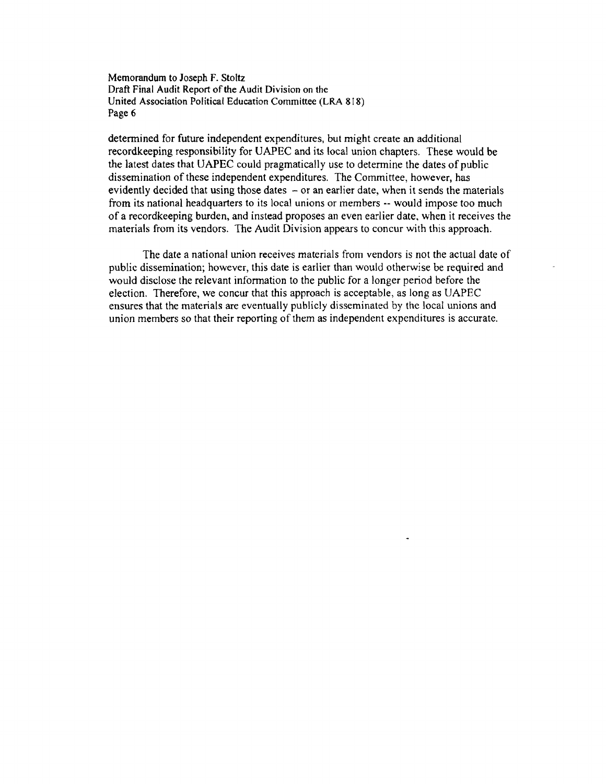Memorandum to Joseph F. Stoltz Draft Final Audit Report of the Audit Division on the United Association Political Education Committee (LRA 818) Page 6

determined for future independent expenditures, but might create an additional recordkeeping responsibility for UAPEC and its local union chapters. These would be the latest dates that UAPEC could pragmatically use to detennine the dates of public dissemination of these independent expenditures. The Committee, however, has evidently decided that using those dates  $-$  or an earlier date, when it sends the materials from its national headquarters to its local unions or members -- would impose too much of a recordkeeping burden, and instead proposes an even earlier date, when it receives the materials from its vendors. The Audit Division appears to concur with this approach.

The date a national union receives materials from vendors is not the actual date of public dissemination; however, this date is earlier than would otherwise be required and would disclose the relevant infonnation to the public for a longer period before the election. Therefore, we concur that this approach is acceptable, as long as UAPEC ensures that the materials are eventually publicly disseminated by the local unions and union members so that their reporting of them as independent expenditures is accurate.